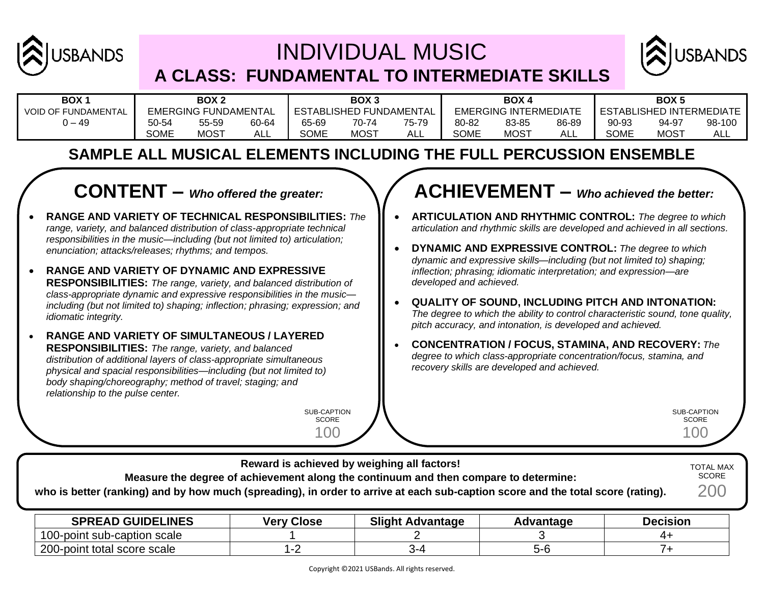

# INDIVIDUAL MUSIC **A CLASS: FUNDAMENTAL TO INTERMEDIATE SKILLS**



| BOX <sub>1</sub>           | BOX <sub>2</sub> |                             |       | BOX <sub>3</sub> |                                |            | BOX 4       |                              |       | BOX <sub>5</sub>                |             |           |  |
|----------------------------|------------------|-----------------------------|-------|------------------|--------------------------------|------------|-------------|------------------------------|-------|---------------------------------|-------------|-----------|--|
| <b>VOID OF FUNDAMENTAL</b> |                  | <b>EMERGING FUNDAMENTAL</b> |       |                  | <b>ESTABLISHED FUNDAMENTAL</b> |            |             | <b>EMERGING INTERMEDIATE</b> |       | <b>ESTABLISHED INTERMEDIATE</b> |             |           |  |
| $0 - 49$                   | 50-54            | 55-59                       | 60-64 | 65-69            | 70-74                          | 75-79      | 80-82       | 83-85                        | 86-89 | 90-93                           | 94-97       | 98-100    |  |
|                            | <b>SOME</b>      | <b>MOST</b>                 | ALL   | <b>SOME</b>      | <b>MOST</b>                    | <b>ALL</b> | <b>SOME</b> | <b>MOST</b>                  | ALL   | SOME                            | <b>MOST</b> | ΔI<br>∼∟∟ |  |

### **SAMPLE ALL MUSICAL ELEMENTS INCLUDING THE FULL PERCUSSION ENSEMBLE**

## **CONTENT –** *Who offered the greater:*

- **RANGE AND VARIETY OF TECHNICAL RESPONSIBILITIES:** *The range, variety, and balanced distribution of class-appropriate technical responsibilities in the music—including (but not limited to) articulation; enunciation; attacks/releases; rhythms; and tempos.*
- **RANGE AND VARIETY OF DYNAMIC AND EXPRESSIVE RESPONSIBILITIES:** *The range, variety, and balanced distribution of class-appropriate dynamic and expressive responsibilities in the music including (but not limited to) shaping; inflection; phrasing; expression; and idiomatic integrity.*
- **RANGE AND VARIETY OF SIMULTANEOUS / LAYERED RESPONSIBILITIES:** *The range, variety, and balanced distribution of additional layers of class-appropriate simultaneous physical and spacial responsibilities—including (but not limited to) body shaping/choreography; method of travel; staging; and relationship to the pulse center.*

SUB-CAPTION **SCORE** 100

### **ACHIEVEMENT –** *Who achieved the better:*

- **ARTICULATION AND RHYTHMIC CONTROL:** *The degree to which articulation and rhythmic skills are developed and achieved in all sections.*
- **DYNAMIC AND EXPRESSIVE CONTROL:** *The degree to which dynamic and expressive skills—including (but not limited to) shaping; inflection; phrasing; idiomatic interpretation; and expression—are developed and achieved.*
- **QUALITY OF SOUND, INCLUDING PITCH AND INTONATION:**  *The degree to which the ability to control characteristic sound, tone quality, pitch accuracy, and intonation, is developed and achieved.*
- **CONCENTRATION / FOCUS, STAMINA, AND RECOVERY:** *The degree to which class-appropriate concentration/focus, stamina, and recovery skills are developed and achieved.*

SUB-CAPTION **SCORE** 100

| who is better (ranking) and by how much (spreading), in order to arrive at each sub-caption score and the total score (rating). |                   | Reward is achieved by weighing all factors!<br>Measure the degree of achievement along the continuum and then compare to determine: |           |                 | <b>TOTAL MAX</b><br><b>SCORE</b><br>200 |
|---------------------------------------------------------------------------------------------------------------------------------|-------------------|-------------------------------------------------------------------------------------------------------------------------------------|-----------|-----------------|-----------------------------------------|
| <b>SPREAD GUIDELINES</b>                                                                                                        | <b>Very Close</b> | <b>Slight Advantage</b>                                                                                                             | Advantage | <b>Decision</b> |                                         |

| <b>SPREAD GUIDELINES</b>    | Close<br>/erv | Sliaht .<br>Advantage | Advantage | Decision |
|-----------------------------|---------------|-----------------------|-----------|----------|
| 100-point sub-caption scale |               |                       |           |          |
| 200-point total score scale |               |                       |           |          |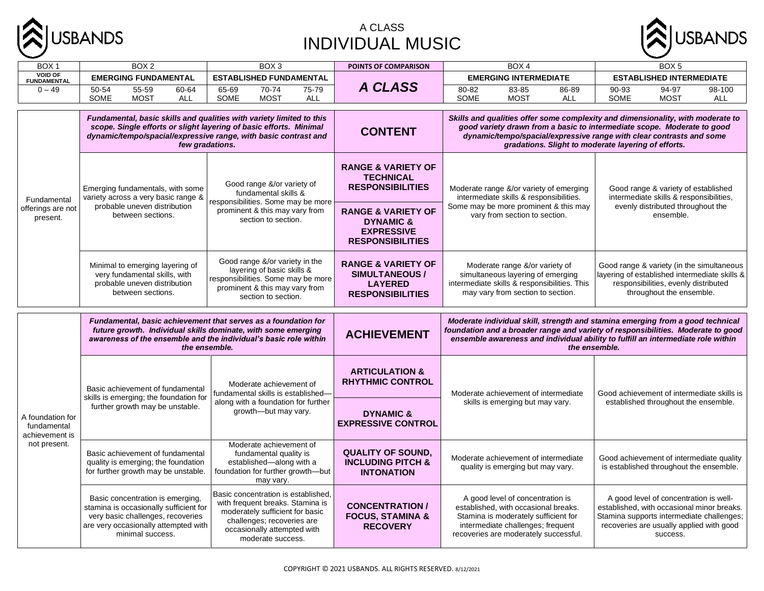

#### A CLASS INDIVIDUAL MUSIC



| BOX <sub>1</sub>                                  | BOX <sub>2</sub>                                                                                                                                                                                                                 | BOX <sub>3</sub>                                                                                                                                                                             | POINTS OF COMPARISON                                                                                  | BOX 4                                                                                                                                                                                                                                                                                     | BOX <sub>5</sub>                                                                                                                                                                          |  |  |  |
|---------------------------------------------------|----------------------------------------------------------------------------------------------------------------------------------------------------------------------------------------------------------------------------------|----------------------------------------------------------------------------------------------------------------------------------------------------------------------------------------------|-------------------------------------------------------------------------------------------------------|-------------------------------------------------------------------------------------------------------------------------------------------------------------------------------------------------------------------------------------------------------------------------------------------|-------------------------------------------------------------------------------------------------------------------------------------------------------------------------------------------|--|--|--|
| <b>VOID OF</b><br><b>FUNDAMENTAL</b>              | <b>EMERGING FUNDAMENTAL</b>                                                                                                                                                                                                      | <b>ESTABLISHED FUNDAMENTAL</b>                                                                                                                                                               |                                                                                                       | <b>EMERGING INTERMEDIATE</b>                                                                                                                                                                                                                                                              | <b>ESTABLISHED INTERMEDIATE</b>                                                                                                                                                           |  |  |  |
| $0 - 49$                                          | 50-54<br>55-59<br>60-64<br>SOME<br><b>MOST</b><br>ALL                                                                                                                                                                            | 70-74<br>75-79<br>65-69<br><b>MOST</b><br>SOME<br>ALL                                                                                                                                        | A CLASS                                                                                               | 80-82<br>83-85<br>86-89<br>SOME<br><b>MOST</b><br><b>ALL</b>                                                                                                                                                                                                                              | 90-93<br>94-97<br>98-100<br>SOME<br><b>MOST</b><br><b>ALL</b>                                                                                                                             |  |  |  |
|                                                   | Fundamental, basic skills and qualities with variety limited to this<br>scope. Single efforts or slight layering of basic efforts. Minimal<br>dynamic/tempo/spacial/expressive range, with basic contrast and<br>few gradations. |                                                                                                                                                                                              | <b>CONTENT</b>                                                                                        | Skills and qualities offer some complexity and dimensionality, with moderate to<br>good variety drawn from a basic to intermediate scope. Moderate to good<br>dynamic/tempo/spacial/expressive range with clear contrasts and some<br>gradations. Slight to moderate layering of efforts. |                                                                                                                                                                                           |  |  |  |
| Fundamental                                       | Emerging fundamentals, with some<br>variety across a very basic range &                                                                                                                                                          | Good range &/or variety of<br>fundamental skills &<br>responsibilities. Some may be more                                                                                                     | <b>RANGE &amp; VARIETY OF</b><br><b>TECHNICAL</b><br><b>RESPONSIBILITIES</b>                          | Moderate range &/or variety of emerging<br>intermediate skills & responsibilities.                                                                                                                                                                                                        | Good range & variety of established<br>intermediate skills & responsibilities,                                                                                                            |  |  |  |
| offerings are not<br>present.                     | probable uneven distribution<br>between sections.                                                                                                                                                                                | prominent & this may vary from<br>section to section.                                                                                                                                        | <b>RANGE &amp; VARIETY OF</b><br><b>DYNAMIC &amp;</b><br><b>EXPRESSIVE</b><br><b>RESPONSIBILITIES</b> | Some may be more prominent & this may<br>vary from section to section.                                                                                                                                                                                                                    | evenly distributed throughout the<br>ensemble.                                                                                                                                            |  |  |  |
|                                                   | Minimal to emerging layering of<br>very fundamental skills, with<br>probable uneven distribution<br>between sections.                                                                                                            | Good range &/or variety in the<br>layering of basic skills &<br>responsibilities. Some may be more<br>prominent & this may vary from<br>section to section.                                  | <b>RANGE &amp; VARIETY OF</b><br><b>SIMULTANEOUS /</b><br><b>LAYERED</b><br><b>RESPONSIBILITIES</b>   | Moderate range &/or variety of<br>simultaneous layering of emerging<br>intermediate skills & responsibilities. This<br>may vary from section to section.                                                                                                                                  | Good range & variety (in the simultaneous<br>layering of established intermediate skills &<br>responsibilities, evenly distributed<br>throughout the ensemble.                            |  |  |  |
|                                                   | Fundamental, basic achievement that serves as a foundation for<br>future growth. Individual skills dominate, with some emerging<br>awareness of the ensemble and the individual's basic role within<br>the ensemble.             |                                                                                                                                                                                              | <b>ACHIEVEMENT</b>                                                                                    | Moderate individual skill, strength and stamina emerging from a good technical<br>foundation and a broader range and variety of responsibilities. Moderate to good<br>ensemble awareness and individual ability to fulfill an intermediate role within<br>the ensemble.                   |                                                                                                                                                                                           |  |  |  |
|                                                   | Basic achievement of fundamental<br>skills is emerging; the foundation for                                                                                                                                                       | Moderate achievement of<br>fundamental skills is established-                                                                                                                                | <b>ARTICULATION &amp;</b><br><b>RHYTHMIC CONTROL</b>                                                  | Moderate achievement of intermediate                                                                                                                                                                                                                                                      | Good achievement of intermediate skills is                                                                                                                                                |  |  |  |
| A foundation for<br>fundamental<br>achievement is | further growth may be unstable.                                                                                                                                                                                                  | along with a foundation for further<br>growth-but may vary.                                                                                                                                  | <b>DYNAMIC &amp;</b><br><b>EXPRESSIVE CONTROL</b>                                                     | skills is emerging but may vary.                                                                                                                                                                                                                                                          | established throughout the ensemble.                                                                                                                                                      |  |  |  |
| not present.                                      | Basic achievement of fundamental<br>quality is emerging; the foundation<br>for further growth may be unstable.                                                                                                                   | Moderate achievement of<br>fundamental quality is<br>established-along with a<br>foundation for further growth-but<br>may vary.                                                              | <b>QUALITY OF SOUND.</b><br><b>INCLUDING PITCH &amp;</b><br><b>INTONATION</b>                         | Moderate achievement of intermediate<br>quality is emerging but may vary.                                                                                                                                                                                                                 | Good achievement of intermediate quality<br>is established throughout the ensemble.                                                                                                       |  |  |  |
|                                                   | Basic concentration is emerging,<br>stamina is occasionally sufficient for<br>very basic challenges, recoveries<br>are very occasionally attempted with<br>minimal success.                                                      | Basic concentration is established,<br>with frequent breaks. Stamina is<br>moderately sufficient for basic<br>challenges; recoveries are<br>occasionally attempted with<br>moderate success. | <b>CONCENTRATION /</b><br><b>FOCUS, STAMINA &amp;</b><br><b>RECOVERY</b>                              | A good level of concentration is<br>established, with occasional breaks.<br>Stamina is moderately sufficient for<br>intermediate challenges; frequent<br>recoveries are moderately successful.                                                                                            | A good level of concentration is well-<br>established, with occasional minor breaks.<br>Stamina supports intermediate challenges;<br>recoveries are usually applied with good<br>success. |  |  |  |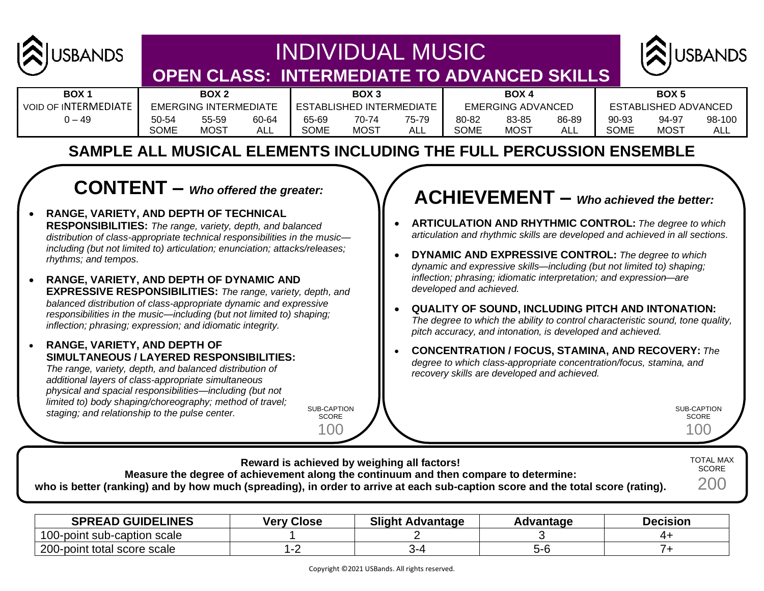

## INDIVIDUAL MUSIC **OPEN CLASS: INTERMEDIATE TO ADVANCED SKILLS**



| BOX <sub>1</sub>            | BOX <sub>2</sub>             |       |       | BOX <sub>3</sub>         |             |       |                   | <b>BOX4</b> |       | <b>BOX5</b>          |             |        |
|-----------------------------|------------------------------|-------|-------|--------------------------|-------------|-------|-------------------|-------------|-------|----------------------|-------------|--------|
| <b>VOID OF INTERMEDIATE</b> | <b>EMERGING INTERMEDIATE</b> |       |       | ESTABLISHED INTERMEDIATE |             |       | EMERGING ADVANCED |             |       | ESTABLISHED ADVANCED |             |        |
| 49 – د                      | 50-54                        | 55-59 | 60-64 | 65-69                    | 70-74       | 75-79 | 80-82             | 83-85       | 86-89 | 90-93                | 94-97       | 98-100 |
|                             | <b>SOME</b>                  | MOST  | ALL   | <b>SOME</b>              | <b>MOST</b> | ALL   | SOME              | <b>MOST</b> |       | SOME                 | <b>MOST</b> | ALL    |

### **SAMPLE ALL MUSICAL ELEMENTS INCLUDING THE FULL PERCUSSION ENSEMBLE**

## **CONTENT –** *Who offered the greater:*

- **RANGE, VARIETY, AND DEPTH OF TECHNICAL RESPONSIBILITIES:** *The range, variety, depth, and balanced distribution of class-appropriate technical responsibilities in the music including (but not limited to) articulation; enunciation; attacks/releases; rhythms; and tempos.*
- **RANGE, VARIETY, AND DEPTH OF DYNAMIC AND EXPRESSIVE RESPONSIBILITIES:** *The range, variety, depth, and balanced distribution of class-appropriate dynamic and expressive responsibilities in the music—including (but not limited to) shaping; inflection; phrasing; expression; and idiomatic integrity.*
- **RANGE, VARIETY, AND DEPTH OF SIMULTANEOUS / LAYERED RESPONSIBILITIES:**

*The range, variety, depth, and balanced distribution of additional layers of class-appropriate simultaneous physical and spacial responsibilities—including (but not limited to) body shaping/choreography; method of travel; staging; and relationship to the pulse center.*

SUB-CAPTION SCORE 100

## **ACHIEVEMENT –** *Who achieved the better:*

- **ARTICULATION AND RHYTHMIC CONTROL:** *The degree to which articulation and rhythmic skills are developed and achieved in all sections.*
- **DYNAMIC AND EXPRESSIVE CONTROL:** *The degree to which dynamic and expressive skills—including (but not limited to) shaping; inflection; phrasing; idiomatic interpretation; and expression—are developed and achieved.*
- **QUALITY OF SOUND, INCLUDING PITCH AND INTONATION:**  *The degree to which the ability to control characteristic sound, tone quality, pitch accuracy, and intonation, is developed and achieved.*
- **CONCENTRATION / FOCUS, STAMINA, AND RECOVERY:** *The degree to which class-appropriate concentration/focus, stamina, and recovery skills are developed and achieved.*

SUB-CAPTION SCORE 100

| Reward is achieved by weighing all factors!                                                                                     | <b>TOTAL MAX</b><br><b>SCORE</b> |
|---------------------------------------------------------------------------------------------------------------------------------|----------------------------------|
| Measure the degree of achievement along the continuum and then compare to determine:                                            |                                  |
| who is better (ranking) and by how much (spreading), in order to arrive at each sub-caption score and the total score (rating). | 200                              |

| <b>SPREAD GUIDELINES</b>    | <b>Very Close</b> | <b>Slight Advantage</b> | Advantage | Decision |
|-----------------------------|-------------------|-------------------------|-----------|----------|
| 100-point sub-caption scale |                   |                         |           |          |
| 200-point total score scale |                   | .                       | ວ-ເ       |          |